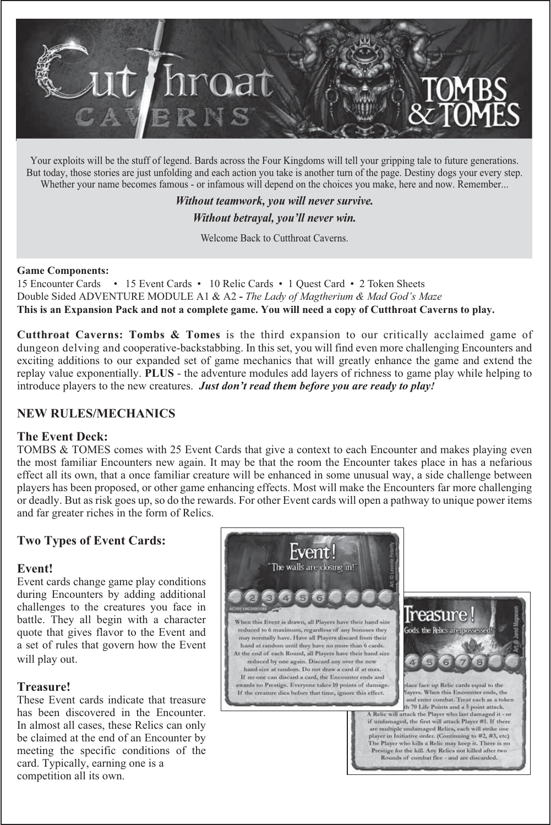

Your exploits will be the stuff of legend. Bards across the Four Kingdoms will tell your gripping tale to future generations. But today, those stories are just unfolding and each action you take is another turn of the page. Destiny dogs your every step. Whether your name becomes famous - or infamous will depend on the choices you make, here and now. Remember...

> *Without teamwork, you will never survive. Without betrayal, you'll never win.*

> > Welcome Back to Cutthroat Caverns.

#### **Game Components:**

15 Encounter Cards • 15 Event Cards • 10 Relic Cards • 1 Quest Card • 2 Token Sheets Double Sided ADVENTURE MODULE A1 & A2 **-** *The Lady of Magtherium & Mad God's Maze* **This is an Expansion Pack and not a complete game. You will need a copy of Cutthroat Caverns to play.**

**Cutthroat Caverns: Tombs & Tomes** is the third expansion to our critically acclaimed game of dungeon delving and cooperative-backstabbing. In this set, you will find even more challenging Encounters and exciting additions to our expanded set of game mechanics that will greatly enhance the game and extend the replay value exponentially. **PLUS** - the adventure modules add layers of richness to game play while helping to introduce players to the new creatures.*Just don't read them before you are ready to play!*

## **NEW RULES/MECHANICS**

#### **The Event Deck:**

TOMBS & TOMES comes with 25 Event Cards that give a context to each Encounter and makes playing even the most familiar Encounters new again. It may be that the room the Encounter takes place in has a nefarious effect all its own, that a once familiar creature will be enhanced in some unusual way, a side challenge between players has been proposed, or other game enhancing effects. Most will make the Encounters far more challenging or deadly. But as risk goes up, so do the rewards. For other Event cards will open a pathway to unique power items and far greater riches in the form of Relics.

## **Two Types of Event Cards:**

#### **Event!**

Event cards change game play conditions during Encounters by adding additional challenges to the creatures you face in battle. They all begin with a character quote that gives flavor to the Event and a set of rules that govern how the Event will play out.

#### **Treasure!**

These Event cards indicate that treasure has been discovered in the Encounter. In almost all cases, these Relics can only be claimed at the end of an Encounter by meeting the specific conditions of the card. Typically, earning one is a competition all its own.

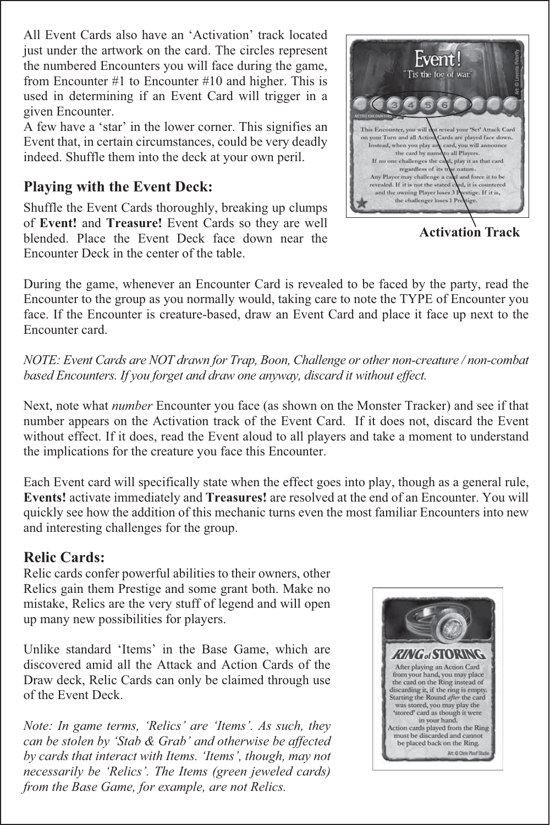All Event Cards also have an 'Activation' track located just under the artwork on the card. The circles represent the numbered Encounters you will face during the game, from Encounter #1 to Encounter #10 and higher. This is used in determining if an Event Card will trigger in a given Encounter.

A few have a 'star' in the lower corner. This signifies an Event that, in certain circumstances, could be very deadly indeed. Shuffle them into the deck at your own peril.

# **Playing with the Event Deck:**

Shuffle the Event Cards thoroughly, breaking up clumps of **Event!** and **Treasure!** Event Cards so they are well blended. Place the Event Deck face down near the Encounter Deck in the center of the table.



**Activation Track**

During the game, whenever an Encounter Card is revealed to be faced by the party, read the Encounter to the group as you normally would, taking care to note the TYPE of Encounter you face. If the Encounter is creature-based, draw an Event Card and place it face up next to the Encounter card.

*NOTE: Event Cards are NOT drawn for Trap, Boon, Challenge or other non-creature / non-combat based Encounters. If you forget and draw one anyway, discard it without effect.*

Next, note what *number* Encounter you face (as shown on the Monster Tracker) and see if that number appears on the Activation track of the Event Card. If it does not, discard the Event without effect. If it does, read the Event aloud to all players and take a moment to understand the implications for the creature you face this Encounter.

Each Event card will specifically state when the effect goes into play, though as a general rule, **Events!** activate immediately and **Treasures!** are resolved at the end of an Encounter. You will quickly see how the addition of this mechanic turns even the most familiar Encounters into new and interesting challenges for the group.

# **Relic Cards:**

Relic cards confer powerful abilities to their owners, other Relics gain them Prestige and some grant both. Make no mistake, Relics are the very stuff of legend and will open up many new possibilities for players.

Unlike standard 'Items' in the Base Game, which are discovered amid all the Attack and Action Cards of the Draw deck, Relic Cards can only be claimed through use of the Event Deck.

*Note: In game terms, 'Relics' are 'Items'. As such, they can be stolen by 'Stab & Grab' and otherwise be affected by cards that interact with Items. 'Items', though, may not necessarily be 'Relics'. The Items (green jeweled cards) from the Base Game, for example, are not Relics.*

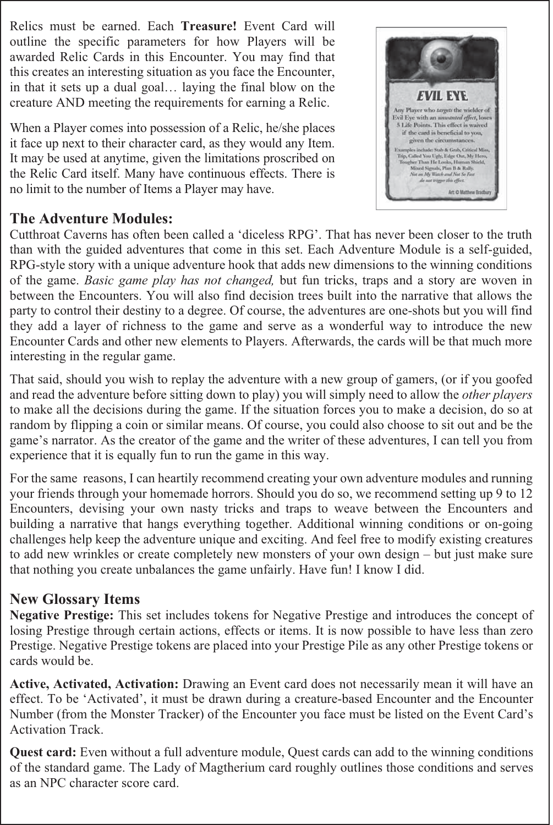Relics must be earned. Each **Treasure!** Event Card will outline the specific parameters for how Players will be awarded Relic Cards in this Encounter. You may find that this creates an interesting situation as you face the Encounter, in that it sets up a dual goal… laying the final blow on the creature AND meeting the requirements for earning a Relic.

When a Player comes into possession of a Relic, he/she places it face up next to their character card, as they would any Item. It may be used at anytime, given the limitations proscribed on the Relic Card itself. Many have continuous effects. There is no limit to the number of Items a Player may have.

# **The Adventure Modules:**

Cutthroat Caverns has often been called a 'diceless RPG'. That has never been closer to the truth than with the guided adventures that come in this set. Each Adventure Module is a self-guided, RPG-style story with a unique adventure hook that adds new dimensions to the winning conditions of the game. *Basic game play has not changed,* but fun tricks, traps and a story are woven in between the Encounters. You will also find decision trees built into the narrative that allows the party to control their destiny to a degree. Of course, the adventures are one-shots but you will find they add a layer of richness to the game and serve as a wonderful way to introduce the new Encounter Cards and other new elements to Players. Afterwards, the cards will be that much more interesting in the regular game.

That said, should you wish to replay the adventure with a new group of gamers, (or if you goofed and read the adventure before sitting down to play) you will simply need to allow the *other players* to make all the decisions during the game. If the situation forces you to make a decision, do so at random by flipping a coin or similar means. Of course, you could also choose to sit out and be the game's narrator. As the creator of the game and the writer of these adventures, I can tell you from experience that it is equally fun to run the game in this way.

For the same reasons, I can heartily recommend creating your own adventure modules and running your friends through your homemade horrors. Should you do so, we recommend setting up 9 to 12 Encounters, devising your own nasty tricks and traps to weave between the Encounters and building a narrative that hangs everything together. Additional winning conditions or on-going challenges help keep the adventure unique and exciting. And feel free to modify existing creatures to add new wrinkles or create completely new monsters of your own design – but just make sure that nothing you create unbalances the game unfairly. Have fun! I know I did.

# **New Glossary Items**

**Negative Prestige:** This set includes tokens for Negative Prestige and introduces the concept of losing Prestige through certain actions, effects or items. It is now possible to have less than zero Prestige. Negative Prestige tokens are placed into your Prestige Pile as any other Prestige tokens or cards would be.

**Active, Activated, Activation:** Drawing an Event card does not necessarily mean it will have an effect. To be 'Activated', it must be drawn during a creature-based Encounter and the Encounter Number (from the Monster Tracker) of the Encounter you face must be listed on the Event Card's Activation Track.

**Quest card:** Even without a full adventure module, Quest cards can add to the winning conditions of the standard game. The Lady of Magtherium card roughly outlines those conditions and serves as an NPC character score card.

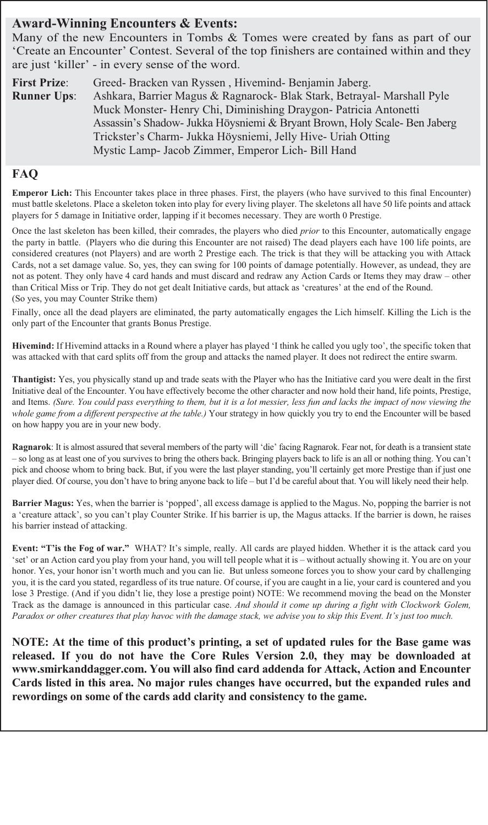## **Award-Winning Encounters & Events:**

Many of the new Encounters in Tombs & Tomes were created by fans as part of our 'Create an Encounter' Contest. Several of the top finishers are contained within and they are just 'killer' - in every sense of the word.

**First Prize**: Greed- Bracken van Ryssen , Hivemind- Benjamin Jaberg. **Runner Ups**: Ashkara, Barrier Magus & Ragnarock- Blak Stark, Betrayal- Marshall Pyle Muck Monster- Henry Chi, Diminishing Draygon- Patricia Antonetti Assassin's Shadow- Jukka Höysniemi & Bryant Brown, Holy Scale- Ben Jaberg Trickster's Charm- Jukka Höysniemi, Jelly Hive- Uriah Otting Mystic Lamp- Jacob Zimmer, Emperor Lich- Bill Hand

## **FAQ**

**Emperor Lich:** This Encounter takes place in three phases. First, the players (who have survived to this final Encounter) must battle skeletons. Place a skeleton token into play for every living player. The skeletons all have 50 life points and attack players for 5 damage in Initiative order, lapping if it becomes necessary. They are worth 0 Prestige.

Once the last skeleton has been killed, their comrades, the players who died *prior* to this Encounter, automatically engage the party in battle. (Players who die during this Encounter are not raised) The dead players each have 100 life points, are considered creatures (not Players) and are worth 2 Prestige each. The trick is that they will be attacking you with Attack Cards, not a set damage value. So, yes, they can swing for 100 points of damage potentially. However, as undead, they are not as potent. They only have 4 card hands and must discard and redraw any Action Cards or Items they may draw – other than Critical Miss or Trip. They do not get dealt Initiative cards, but attack as 'creatures' at the end of the Round. (So yes, you may Counter Strike them)

Finally, once all the dead players are eliminated, the party automatically engages the Lich himself. Killing the Lich is the only part of the Encounter that grants Bonus Prestige.

**Hivemind:** If Hivemind attacks in a Round where a player has played 'I think he called you ugly too', the specific token that was attacked with that card splits off from the group and attacks the named player. It does not redirect the entire swarm.

**Thantigist:** Yes, you physically stand up and trade seats with the Player who has the Initiative card you were dealt in the first Initiative deal of the Encounter. You have effectively become the other character and now hold their hand, life points, Prestige, and Items. *(Sure. You could pass everything to them, but it is a lot messier, less fun and lacks the impact of now viewing the whole game from a different perspective at the table.)* Your strategy in how quickly you try to end the Encounter will be based on how happy you are in your new body.

**Ragnarok**: It is almost assured that several members of the party will 'die' facing Ragnarok. Fear not, for death is a transient state – so long as at least one of you survives to bring the others back. Bringing players back to life is an all or nothing thing. You can't pick and choose whom to bring back. But, if you were the last player standing, you'll certainly get more Prestige than if just one player died. Of course, you don't have to bring anyone back to life – but I'd be careful about that. You will likely need their help.

**Barrier Magus:** Yes, when the barrier is 'popped', all excess damage is applied to the Magus. No, popping the barrier is not a 'creature attack', so you can't play Counter Strike. If his barrier is up, the Magus attacks. If the barrier is down, he raises his barrier instead of attacking.

**Event: "T'is the Fog of war."** WHAT? It's simple, really. All cards are played hidden. Whether it is the attack card you 'set' or an Action card you play from your hand, you will tell people what it is – without actually showing it. You are on your honor. Yes, your honor isn't worth much and you can lie. But unless someone forces you to show your card by challenging you, it is the card you stated, regardless of its true nature. Of course, if you are caught in a lie, your card is countered and you lose 3 Prestige. (And if you didn't lie, they lose a prestige point) NOTE: We recommend moving the bead on the Monster Track as the damage is announced in this particular case. *And should it come up during a fight with Clockwork Golem, Paradox or other creatures that play havoc with the damage stack, we advise you to skip this Event. It's just too much.*

**NOTE: At the time of this product's printing, a set of updated rules for the Base game was released. If you do not have the Core Rules Version 2.0, they may be downloaded at www.smirkanddagger.com. You will also find card addenda for Attack, Action and Encounter Cards listed in this area. No major rules changes have occurred, but the expanded rules and rewordings on some of the cards add clarity and consistency to the game.**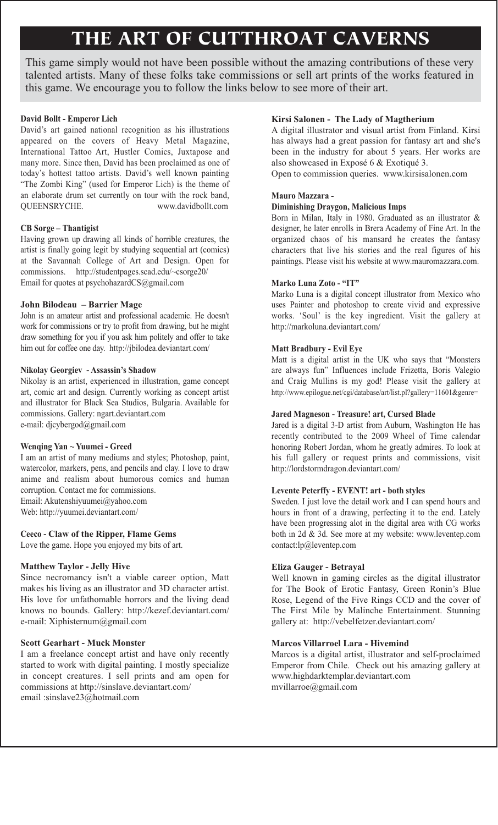# **THE ART OF CUTTHROAT CAVERNS**

This game simply would not have been possible without the amazing contributions of these very talented artists. Many of these folks take commissions or sell art prints of the works featured in this game. We encourage you to follow the links below to see more of their art.

#### **David Bollt - Emperor Lich**

David's art gained national recognition as his illustrations appeared on the covers of Heavy Metal Magazine, International Tattoo Art, Hustler Comics, Juxtapose and many more. Since then, David has been proclaimed as one of today's hottest tattoo artists. David's well known painting "The Zombi King" (used for Emperor Lich) is the theme of an elaborate drum set currently on tour with the rock band, QUEENSRYCHE. www.davidbollt.com

#### **CB Sorge – Thantigist**

Having grown up drawing all kinds of horrible creatures, the artist is finally going legit by studying sequential art (comics) at the Savannah College of Art and Design. Open for commissions. http://studentpages.scad.edu/~csorge20/ Email for quotes at psychohazardCS@gmail.com

#### **John Bilodeau – Barrier Mage**

John is an amateur artist and professional academic. He doesn't work for commissions or try to profit from drawing, but he might draw something for you if you ask him politely and offer to take him out for coffee one day. http://jbilodea.deviantart.com/

#### **Nikolay Georgiev - Assassin's Shadow**

Nikolay is an artist, experienced in illustration, game concept art, comic art and design. Currently working as concept artist and illustrator for Black Sea Studios, Bulgaria. Available for commissions. Gallery: ngart.deviantart.com e-mail: djcybergod@gmail.com

#### **Wenqing Yan ~ Yuumei - Greed**

I am an artist of many mediums and styles; Photoshop, paint, watercolor, markers, pens, and pencils and clay. I love to draw anime and realism about humorous comics and human corruption. Contact me for commissions. Email: Akutenshiyuumei@yahoo.com Web: http://yuumei.deviantart.com/

#### **Ceeco - Claw of the Ripper, Flame Gems**

Love the game. Hope you enjoyed my bits of art.

#### **Matthew Taylor - Jelly Hive**

Since necromancy isn't a viable career option, Matt makes his living as an illustrator and 3D character artist. His love for unfathomable horrors and the living dead knows no bounds. Gallery: http://kezef.deviantart.com/ e-mail: Xiphisternum@gmail.com

#### **Scott Gearhart - Muck Monster**

I am a freelance concept artist and have only recently started to work with digital painting. I mostly specialize in concept creatures. I sell prints and am open for commissions at http://sinslave.deviantart.com/ email :sinslave23@hotmail.com

#### **Kirsi Salonen - The Lady of Magtherium**

A digital illustrator and visual artist from Finland. Kirsi has always had a great passion for fantasy art and she's been in the industry for about 5 years. Her works are also showcased in Exposé 6 & Exotiqué 3.

Open to commission queries. www.kirsisalonen.com

#### **Mauro Mazzara -**

#### **Diminishing Draygon, Malicious Imps**

Born in Milan, Italy in 1980. Graduated as an illustrator & designer, he later enrolls in Brera Academy of Fine Art. In the organized chaos of his mansard he creates the fantasy characters that live his stories and the real figures of his paintings. Please visit his website at www.mauromazzara.com.

#### **Marko Luna Zoto - "IT"**

Marko Luna is a digital concept illustrator from Mexico who uses Painter and photoshop to create vivid and expressive works. 'Soul' is the key ingredient. Visit the gallery at http://markoluna.deviantart.com/

#### **Matt Bradbury - Evil Eye**

Matt is a digital artist in the UK who says that "Monsters are always fun" Influences include Frizetta, Boris Valegio and Craig Mullins is my god! Please visit the gallery at http://www.epilogue.net/cgi/database/art/list.pl?gallery=11601&genre=

#### **Jared Magneson - Treasure! art, Cursed Blade**

Jared is a digital 3-D artist from Auburn, Washington He has recently contributed to the 2009 Wheel of Time calendar honoring Robert Jordan, whom he greatly admires. To look at his full gallery or request prints and commissions, visit http://lordstormdragon.deviantart.com/

#### **Levente Peterffy - EVENT! art - both styles**

Sweden. I just love the detail work and I can spend hours and hours in front of a drawing, perfecting it to the end. Lately have been progressing alot in the digital area with CG works both in 2d & 3d. See more at my website: www.leventep.com contact:lp@leventep.com

#### **Eliza Gauger - Betrayal**

Well known in gaming circles as the digital illustrator for The Book of Erotic Fantasy, Green Ronin's Blue Rose, Legend of the Five Rings CCD and the cover of The First Mile by Malinche Entertainment. Stunning gallery at: http://vebelfetzer.deviantart.com/

#### **Marcos Villarroel Lara - Hivemind**

Marcos is a digital artist, illustrator and self-proclaimed Emperor from Chile. Check out his amazing gallery at www.highdarktemplar.deviantart.com mvillarroe@gmail.com